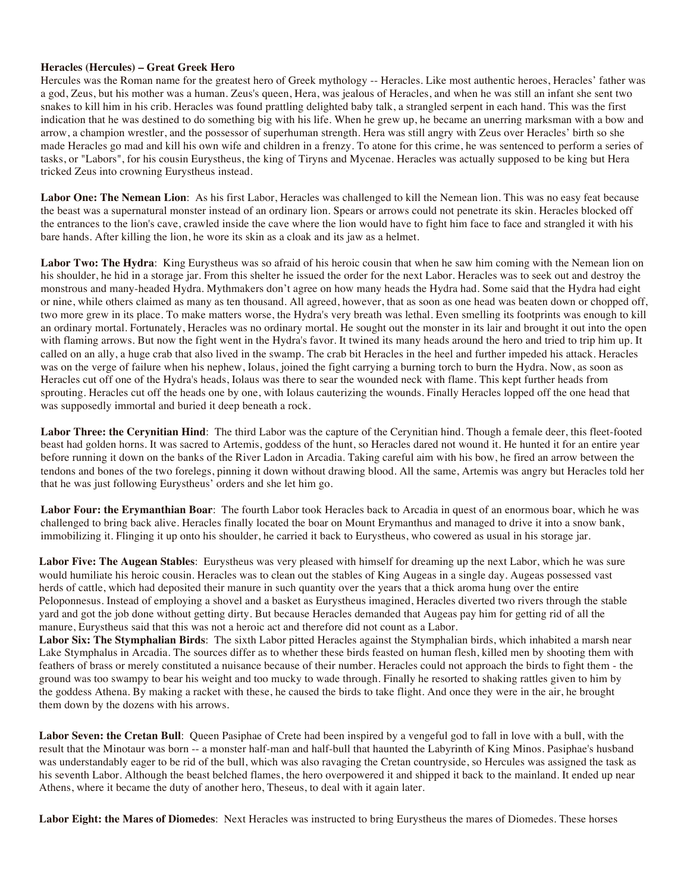## **Heracles (Hercules) – Great Greek Hero**

Hercules was the Roman name for the greatest hero of Greek mythology -- Heracles. Like most authentic heroes, Heracles' father was a god, Zeus, but his mother was a human. Zeus's queen, Hera, was jealous of Heracles, and when he was still an infant she sent two snakes to kill him in his crib. Heracles was found prattling delighted baby talk, a strangled serpent in each hand. This was the first indication that he was destined to do something big with his life. When he grew up, he became an unerring marksman with a bow and arrow, a champion wrestler, and the possessor of superhuman strength. Hera was still angry with Zeus over Heracles' birth so she made Heracles go mad and kill his own wife and children in a frenzy. To atone for this crime, he was sentenced to perform a series of tasks, or "Labors", for his cousin Eurystheus, the king of Tiryns and Mycenae. Heracles was actually supposed to be king but Hera tricked Zeus into crowning Eurystheus instead.

**Labor One: The Nemean Lion**: As his first Labor, Heracles was challenged to kill the Nemean lion. This was no easy feat because the beast was a supernatural monster instead of an ordinary lion. Spears or arrows could not penetrate its skin. Heracles blocked off the entrances to the lion's cave, crawled inside the cave where the lion would have to fight him face to face and strangled it with his bare hands. After killing the lion, he wore its skin as a cloak and its jaw as a helmet.

Labor Two: The Hydra: King Eurystheus was so afraid of his heroic cousin that when he saw him coming with the Nemean lion on his shoulder, he hid in a storage jar. From this shelter he issued the order for the next Labor. Heracles was to seek out and destroy the monstrous and many-headed Hydra. Mythmakers don't agree on how many heads the Hydra had. Some said that the Hydra had eight or nine, while others claimed as many as ten thousand. All agreed, however, that as soon as one head was beaten down or chopped off, two more grew in its place. To make matters worse, the Hydra's very breath was lethal. Even smelling its footprints was enough to kill an ordinary mortal. Fortunately, Heracles was no ordinary mortal. He sought out the monster in its lair and brought it out into the open with flaming arrows. But now the fight went in the Hydra's favor. It twined its many heads around the hero and tried to trip him up. It called on an ally, a huge crab that also lived in the swamp. The crab bit Heracles in the heel and further impeded his attack. Heracles was on the verge of failure when his nephew, Iolaus, joined the fight carrying a burning torch to burn the Hydra. Now, as soon as Heracles cut off one of the Hydra's heads, Iolaus was there to sear the wounded neck with flame. This kept further heads from sprouting. Heracles cut off the heads one by one, with Iolaus cauterizing the wounds. Finally Heracles lopped off the one head that was supposedly immortal and buried it deep beneath a rock.

**Labor Three: the Cerynitian Hind**: The third Labor was the capture of the Cerynitian hind. Though a female deer, this fleet-footed beast had golden horns. It was sacred to Artemis, goddess of the hunt, so Heracles dared not wound it. He hunted it for an entire year before running it down on the banks of the River Ladon in Arcadia. Taking careful aim with his bow, he fired an arrow between the tendons and bones of the two forelegs, pinning it down without drawing blood. All the same, Artemis was angry but Heracles told her that he was just following Eurystheus' orders and she let him go.

**Labor Four: the Erymanthian Boar**: The fourth Labor took Heracles back to Arcadia in quest of an enormous boar, which he was challenged to bring back alive. Heracles finally located the boar on Mount Erymanthus and managed to drive it into a snow bank, immobilizing it. Flinging it up onto his shoulder, he carried it back to Eurystheus, who cowered as usual in his storage jar.

**Labor Five: The Augean Stables**: Eurystheus was very pleased with himself for dreaming up the next Labor, which he was sure would humiliate his heroic cousin. Heracles was to clean out the stables of King Augeas in a single day. Augeas possessed vast herds of cattle, which had deposited their manure in such quantity over the years that a thick aroma hung over the entire Peloponnesus. Instead of employing a shovel and a basket as Eurystheus imagined, Heracles diverted two rivers through the stable yard and got the job done without getting dirty. But because Heracles demanded that Augeas pay him for getting rid of all the manure, Eurystheus said that this was not a heroic act and therefore did not count as a Labor.

**Labor Six: The Stymphalian Birds**: The sixth Labor pitted Heracles against the Stymphalian birds, which inhabited a marsh near Lake Stymphalus in Arcadia. The sources differ as to whether these birds feasted on human flesh, killed men by shooting them with feathers of brass or merely constituted a nuisance because of their number. Heracles could not approach the birds to fight them - the ground was too swampy to bear his weight and too mucky to wade through. Finally he resorted to shaking rattles given to him by the goddess Athena. By making a racket with these, he caused the birds to take flight. And once they were in the air, he brought them down by the dozens with his arrows.

**Labor Seven: the Cretan Bull**: Queen Pasiphae of Crete had been inspired by a vengeful god to fall in love with a bull, with the result that the Minotaur was born -- a monster half-man and half-bull that haunted the Labyrinth of King Minos. Pasiphae's husband was understandably eager to be rid of the bull, which was also ravaging the Cretan countryside, so Hercules was assigned the task as his seventh Labor. Although the beast belched flames, the hero overpowered it and shipped it back to the mainland. It ended up near Athens, where it became the duty of another hero, Theseus, to deal with it again later.

**Labor Eight: the Mares of Diomedes**: Next Heracles was instructed to bring Eurystheus the mares of Diomedes. These horses